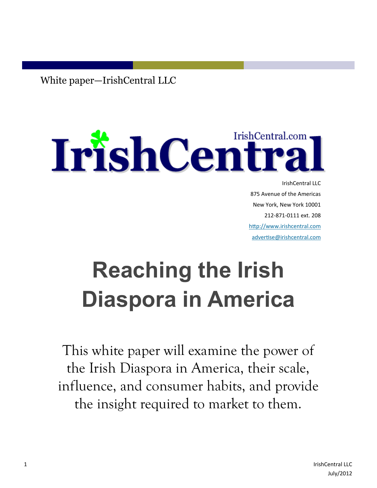White paper—IrishCentral LLC

# IrishCentral.com IrishCentral.com.

IrishCentral LLC 875 Avenue of the Americas New York, New York 10001 212-871-0111 ext. 208 [http://www.irishcentral.com](http://www.irishcentral.com/) [advertise@irishcentral.com](mailto:advertise@irishcentral.com)

# **Reaching the Irish Diaspora in America**

This white paper will examine the power of the Irish Diaspora in America, their scale, influence, and consumer habits, and provide the insight required to market to them.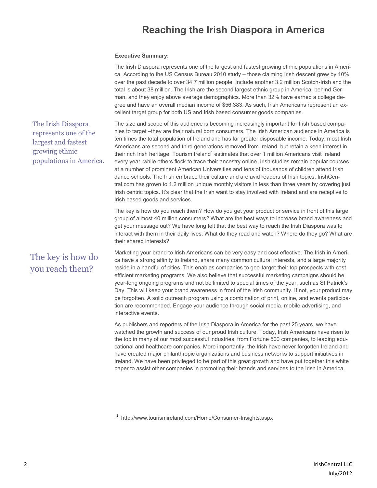# **Reaching the Irish Diaspora in America**

#### **Executive Summary:**

|                                                                                                                 | The Irish Diaspora represents one of the largest and fastest growing ethnic populations in Ameri-<br>ca. According to the US Census Bureau 2010 study – those claiming Irish descent grew by 10%<br>over the past decade to over 34.7 million people. Include another 3.2 million Scotch-Irish and the<br>total is about 38 million. The Irish are the second largest ethnic group in America, behind Ger-<br>man, and they enjoy above average demographics. More than 32% have earned a college de-<br>gree and have an overall median income of \$56,383. As such, Irish Americans represent an ex-<br>cellent target group for both US and Irish based consumer goods companies.                                                                                                                                                                                                                                                                                                                                                                                                       |
|-----------------------------------------------------------------------------------------------------------------|--------------------------------------------------------------------------------------------------------------------------------------------------------------------------------------------------------------------------------------------------------------------------------------------------------------------------------------------------------------------------------------------------------------------------------------------------------------------------------------------------------------------------------------------------------------------------------------------------------------------------------------------------------------------------------------------------------------------------------------------------------------------------------------------------------------------------------------------------------------------------------------------------------------------------------------------------------------------------------------------------------------------------------------------------------------------------------------------|
| The Irish Diaspora<br>represents one of the<br>largest and fastest<br>growing ethnic<br>populations in America. | The size and scope of this audience is becoming increasingly important for Irish based compa-<br>nies to target --they are their natural born consumers. The Irish American audience in America is<br>ten times the total population of Ireland and has far greater disposable income. Today, most Irish<br>Americans are second and third generations removed from Ireland, but retain a keen interest in<br>their rich Irish heritage. Tourism Ireland <sup>1</sup> estimates that over 1 million Americans visit Ireland<br>every year, while others flock to trace their ancestry online. Irish studies remain popular courses<br>at a number of prominent American Universities and tens of thousands of children attend Irish<br>dance schools. The Irish embrace their culture and are avid readers of Irish topics. IrishCen-<br>tral.com has grown to 1.2 million unique monthly visitors in less than three years by covering just<br>Irish centric topics. It's clear that the Irish want to stay involved with Ireland and are receptive to<br>Irish based goods and services. |
|                                                                                                                 | The key is how do you reach them? How do you get your product or service in front of this large                                                                                                                                                                                                                                                                                                                                                                                                                                                                                                                                                                                                                                                                                                                                                                                                                                                                                                                                                                                            |

group of almost 40 million consumers? What are the best ways to increase brand awareness and get your message out? We have long felt that the best way to reach the Irish Diaspora was to interact with them in their daily lives. What do they read and watch? Where do they go? What are their shared interests?

The key is how do you reach them?

Marketing your brand to Irish Americans can be very easy and cost effective. The Irish in America have a strong affinity to Ireland, share many common cultural interests, and a large majority reside in a handful of cities. This enables companies to geo-target their top prospects with cost efficient marketing programs. We also believe that successful marketing campaigns should be year-long ongoing programs and not be limited to special times of the year, such as St Patrick's Day. This will keep your brand awareness in front of the Irish community. If not, your product may be forgotten. A solid outreach program using a combination of print, online, and events participation are recommended. Engage your audience through social media, mobile advertising, and interactive events.

As publishers and reporters of the Irish Diaspora in America for the past 25 years, we have watched the growth and success of our proud Irish culture. Today, Irish Americans have risen to the top in many of our most successful industries, from Fortune 500 companies, to leading educational and healthcare companies. More importantly, the Irish have never forgotten Ireland and have created major philanthropic organizations and business networks to support initiatives in Ireland. We have been privileged to be part of this great growth and have put together this white paper to assist other companies in promoting their brands and services to the Irish in America.

1 http://www.tourismireland.com/Home/Consumer-Insights.aspx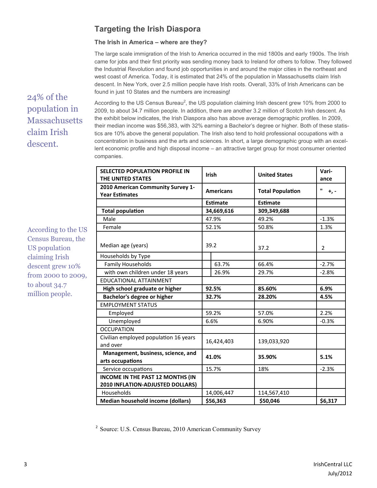# **Targeting the Irish Diaspora**

## **The Irish in America – where are they?**

The large scale immigration of the Irish to America occurred in the mid 1800s and early 1900s. The Irish came for jobs and their first priority was sending money back to Ireland for others to follow. They followed the Industrial Revolution and found job opportunities in and around the major cities in the northeast and west coast of America. Today, it is estimated that 24% of the population in Massachusetts claim Irish descent. In New York, over 2.5 million people have Irish roots. Overall, 33% of Irish Americans can be found in just 10 States and the numbers are increasing!

24% of the population in **Massachusetts** claim Irish descent.

According to the US Census Bureau, the US population claiming Irish descent grew 10% from 2000 to 2009,

to about 34.7 million people.

According to the US Census Bureau<sup>2</sup>, the US population claiming Irish descent grew 10% from 2000 to 2009, to about 34.7 million people. In addition, there are another 3.2 million of Scotch Irish descent. As the exhibit below indicates, the Irish Diaspora also has above average demographic profiles. In 2009, their median income was \$56,383, with 32% earning a Bachelor's degree or higher. Both of these statistics are 10% above the general population. The Irish also tend to hold professional occupations with a concentration in business and the arts and sciences. In short, a large demographic group with an excellent economic profile and high disposal income – an attractive target group for most consumer oriented companies.

| <b>SELECTED POPULATION PROFILE IN</b><br>THE UNITED STATES<br>2010 American Community Survey 1-<br><b>Year Estimates</b> |            | Irish            | <b>United States</b>    | Vari-<br>ance |
|--------------------------------------------------------------------------------------------------------------------------|------------|------------------|-------------------------|---------------|
|                                                                                                                          |            | <b>Americans</b> | <b>Total Population</b> | п<br>$+$ , -  |
|                                                                                                                          |            | <b>Estimate</b>  | <b>Estimate</b>         |               |
| <b>Total population</b>                                                                                                  |            | 34,669,616       | 309,349,688             |               |
| Male                                                                                                                     | 47.9%      |                  | 49.2%                   | $-1.3%$       |
| Female                                                                                                                   | 52.1%      |                  | 50.8%                   | 1.3%          |
| Median age (years)                                                                                                       | 39.2       |                  | 37.2                    | 2             |
| Households by Type                                                                                                       |            |                  |                         |               |
| <b>Family Households</b>                                                                                                 |            | 63.7%            | 66.4%                   | $-2.7%$       |
| with own children under 18 years                                                                                         |            | 26.9%            | 29.7%                   | $-2.8%$       |
| EDUCATIONAL ATTAINMENT                                                                                                   |            |                  |                         |               |
| High school graduate or higher                                                                                           |            | 92.5%            | 85.60%                  | 6.9%          |
| Bachelor's degree or higher                                                                                              |            | 32.7%            | 28.20%                  | 4.5%          |
| <b>EMPLOYMENT STATUS</b>                                                                                                 |            |                  |                         |               |
| Employed                                                                                                                 |            | 59.2%            | 57.0%                   | 2.2%          |
| Unemployed                                                                                                               |            | 6.6%             | 6.90%                   | $-0.3%$       |
| <b>OCCUPATION</b>                                                                                                        |            |                  |                         |               |
| Civilian employed population 16 years<br>and over                                                                        | 16,424,403 |                  | 139,033,920             |               |
| Management, business, science, and<br>arts occupations                                                                   |            | 41.0%            | 35.90%                  | 5.1%          |
| Service occupations                                                                                                      | 15.7%      |                  | 18%                     | $-2.3%$       |
| <b>INCOME IN THE PAST 12 MONTHS (IN</b><br>2010 INFLATION-ADJUSTED DOLLARS)                                              |            |                  |                         |               |
| Households                                                                                                               |            | 14,006,447       | 114,567,410             |               |
| Median household income (dollars)                                                                                        |            | \$56,363         | \$50,046                | \$6,317       |

<sup>2</sup> Source: U.S. Census Bureau, 2010 American Community Survey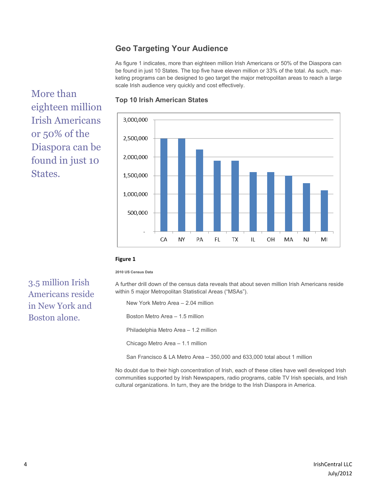# **Geo Targeting Your Audience**

As figure 1 indicates, more than eighteen million Irish Americans or 50% of the Diaspora can be found in just 10 States. The top five have eleven million or 33% of the total. As such, marketing programs can be designed to geo target the major metropolitan areas to reach a large scale Irish audience very quickly and cost effectively.

More than eighteen million Irish Americans or 50% of the Diaspora can be found in just 10 States.



## **Top 10 Irish American States**

### **Figure 1**

#### **2010 US Census Data**

3.5 million Irish Americans reside in New York and Boston alone.

A further drill down of the census data reveals that about seven million Irish Americans reside within 5 major Metropolitan Statistical Areas ("MSAs").

New York Metro Area – 2.04 million

Boston Metro Area – 1.5 million

Philadelphia Metro Area – 1.2 million

Chicago Metro Area – 1.1 million

San Francisco & LA Metro Area – 350,000 and 633,000 total about 1 million

No doubt due to their high concentration of Irish, each of these cities have well developed Irish communities supported by Irish Newspapers, radio programs, cable TV Irish specials, and Irish cultural organizations. In turn, they are the bridge to the Irish Diaspora in America.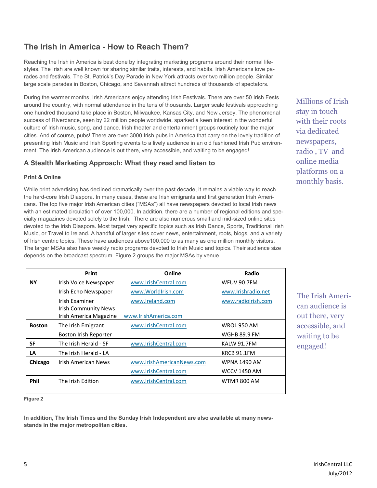# **The Irish in America - How to Reach Them?**

Reaching the Irish in America is best done by integrating marketing programs around their normal lifestyles. The Irish are well known for sharing similar traits, interests, and habits. Irish Americans love parades and festivals. The St. Patrick's Day Parade in New York attracts over two million people. Similar large scale parades in Boston, Chicago, and Savannah attract hundreds of thousands of spectators.

During the warmer months, Irish Americans enjoy attending Irish Festivals. There are over 50 Irish Fests around the country, with normal attendance in the tens of thousands. Larger scale festivals approaching one hundred thousand take place in Boston, Milwaukee, Kansas City, and New Jersey. The phenomenal success of Riverdance, seen by 22 million people worldwide, sparked a keen interest in the wonderful culture of Irish music, song, and dance. Irish theater and entertainment groups routinely tour the major cities. And of course, pubs! There are over 3000 Irish pubs in America that carry on the lovely tradition of presenting Irish Music and Irish Sporting events to a lively audience in an old fashioned Irish Pub environment. The Irish American audience is out there, very accessible, and waiting to be engaged!

# **A Stealth Marketing Approach: What they read and listen to**

# **Print & Online**

While print advertising has declined dramatically over the past decade, it remains a viable way to reach the hard-core Irish Diaspora. In many cases, these are Irish emigrants and first generation Irish Americans. The top five major Irish American cities ("MSAs") all have newspapers devoted to local Irish news with an estimated circulation of over 100,000. In addition, there are a number of regional editions and specialty magazines devoted solely to the Irish. There are also numerous small and mid-sized online sites devoted to the Irish Diaspora. Most target very specific topics such as Irish Dance, Sports, Traditional Irish Music, or Travel to Ireland. A handful of larger sites cover news, entertainment, roots, blogs, and a variety of Irish centric topics. These have audiences above100,000 to as many as one million monthly visitors. The larger MSAs also have weekly radio programs devoted to Irish Music and topics. Their audience size depends on the broadcast spectrum. Figure 2 groups the major MSAs by venue.

|               | Print                                         | Online                    | Radio               |
|---------------|-----------------------------------------------|---------------------------|---------------------|
| <b>NY</b>     | Irish Voice Newspaper                         | www.IrishCentral.com      | <b>WFUV 90.7FM</b>  |
|               | Irish Echo Newspaper                          | www.WorldIrish.com        | www.Irishradio.net  |
|               | Irish Examiner<br><b>Irish Community News</b> | www.Ireland.com           | www.radioirish.com  |
|               | Irish America Magazine                        | www.IrishAmerica.com      |                     |
| <b>Boston</b> | The Irish Emigrant                            | www.IrishCentral.com      | <b>WROL 950 AM</b>  |
|               | Boston Irish Reporter                         |                           | <b>WGHB 89.9 FM</b> |
| SF            | The Irish Herald - SF                         | www.IrishCentral.com      | KALW 91.7FM         |
| LA            | The Irish Herald - LA                         |                           | KRCB 91.1FM         |
| Chicago       | Irish American News                           | www.irishAmericanNews.com | <b>WPNA 1490 AM</b> |
|               |                                               | www.IrishCentral.com      | WCCV 1450 AM        |
| <b>Phil</b>   | The Irish Edition                             | www.IrishCentral.com      | WTMR 800 AM         |

The Irish American audience is out there, very accessible, and waiting to be engaged!

Millions of Irish stay in touch with their roots via dedicated newspapers, radio , TV and online media platforms on a monthly basis.

**Figure 2**

I**n addition, The Irish Times and the Sunday Irish Independent are also available at many newsstands in the major metropolitan cities.**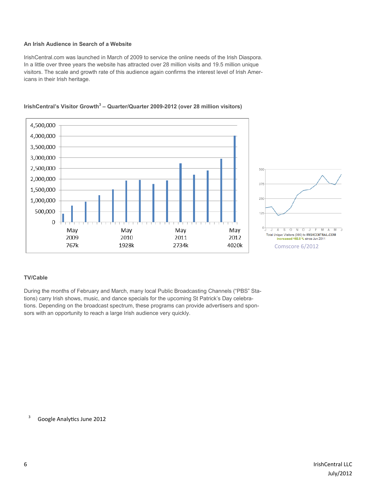### **An Irish Audience in Search of a Website**

IrishCentral.com was launched in March of 2009 to service the online needs of the Irish Diaspora. In a little over three years the website has attracted over 28 million visits and 19.5 million unique visitors. The scale and growth rate of this audience again confirms the interest level of Irish Americans in their Irish heritage.



## **IrishCentral's Visitor Growth<sup>3</sup> – Quarter/Quarter 2009-2012 (over 28 million visitors)**

## **TV/Cable**

During the months of February and March, many local Public Broadcasting Channels ("PBS" Stations) carry Irish shows, music, and dance specials for the upcoming St Patrick's Day celebrations. Depending on the broadcast spectrum, these programs can provide advertisers and sponsors with an opportunity to reach a large Irish audience very quickly.

<sup>3</sup> Google Analytics June 2012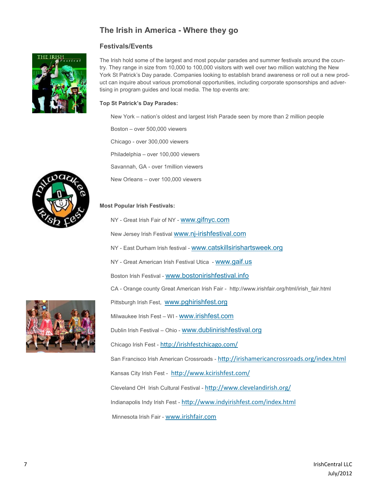# **The Irish in America - Where they go**

# **Festivals/Events**



The Irish hold some of the largest and most popular parades and summer festivals around the country. They range in size from 10,000 to 100,000 visitors with well over two million watching the New York St Patrick's Day parade. Companies looking to establish brand awareness or roll out a new product can inquire about various promotional opportunities, including corporate sponsorships and advertising in program guides and local media. The top events are:

### **Top St Patrick's Day Parades:**

New York – nation's oldest and largest Irish Parade seen by more than 2 million people

Boston – over 500,000 viewers

Chicago - over 300,000 viewers

Philadelphia – over 100,000 viewers

Savannah, GA - over 1million viewers

New Orleans – over 100,000 viewers

## **Most Popular Irish Festivals:**

NY - Great Irish Fair of NY - [www.gifnyc.com](http://www.gifnyc.com/)

New Jersey Irish Festival www.nj-[irishfestival.com](http://www.irishfestival.org/index.php?option=com_content&view=article&id=75&Itemid=435)

NY - East Durham Irish festival - [www.catskillsirishartsweek.org](http://www.catskillsirishartsweek.org/)

NY - Great American Irish Festival Utica - [www.gaif.us](http://www.gaif.us/)

Boston Irish Festival - [www.bostonirishfestival.info](http://www.bostonirishfestival.info/)

CA - Orange county Great American Irish Fair - http://www.irishfair.org/html/irish\_fair.html

Pittsburgh Irish Fest, [www.pghirishfest.org](http://www.pghirishfest.org/index.html)

Milwaukee Irish Fest – WI - [www.irishfest.com](http://irishfest.com/Irishfest.htm)

Dublin Irish Festival – Ohio - [www.dublinirishfestival.org](http://dublinirishfestival.org/)

Chicago Irish Fest - <http://irishfestchicago.com/>

San Francisco Irish American Crossroads - <http://irishamericancrossroads.org/index.html>

Kansas City Irish Fest - <http://www.kcirishfest.com/>

Cleveland OH Irish Cultural Festival - <http://www.clevelandirish.org/>

Indianapolis Indy Irish Fest - <http://www.indyirishfest.com/index.html>

Minnesota Irish Fair - [www.irishfair.com](http://www.irishfair.com/)

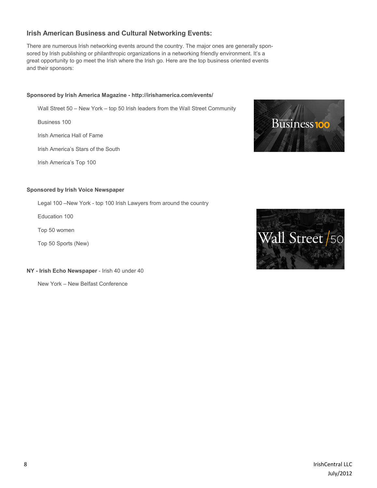# **Irish American Business and Cultural Networking Events:**

There are numerous Irish networking events around the country. The major ones are generally sponsored by Irish publishing or philanthropic organizations in a networking friendly environment. It's a great opportunity to go meet the Irish where the Irish go. Here are the top business oriented events and their sponsors:

#### **Sponsored by Irish America Magazine - http://irishamerica.com/events/**

Wall Street 50 – New York – top 50 Irish leaders from the Wall Street Community

Business 100

Irish America Hall of Fame

Irish America's Stars of the South

Irish America's Top 100

#### **Sponsored by Irish Voice Newspaper**

Legal 100 –New York - top 100 Irish Lawyers from around the country

Education 100

Top 50 women

Top 50 Sports (New)

**NY - Irish Echo Newspaper** - Irish 40 under 40

New York – New Belfast Conference